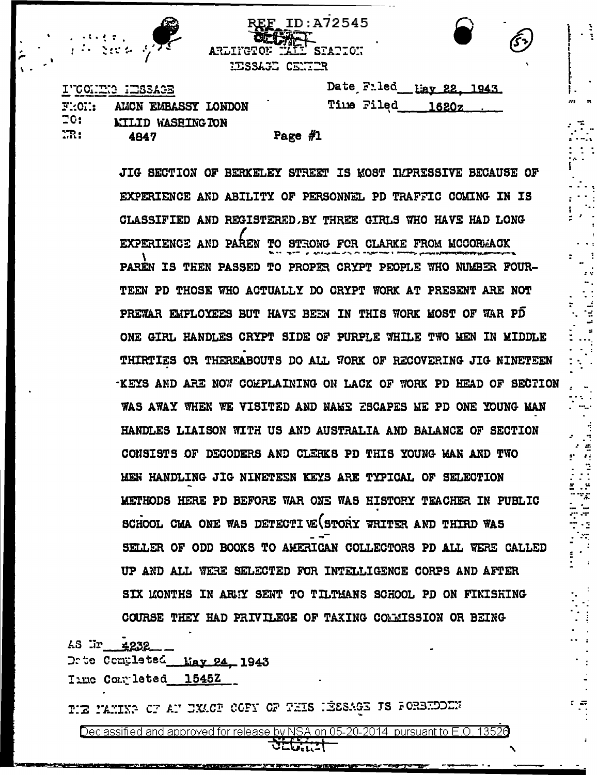

**REF ID:A72545 ARLIYGTON** SIATION HESSAGE CENTER

|  | TUCCLING INSERIES |  |  |  |
|--|-------------------|--|--|--|
|  |                   |  |  |  |

| Date Filed Lay 22, 1943. |  |
|--------------------------|--|
| Time Filed 1620z         |  |

| 2.OL. | AWUN EMBASSI LUNDUN      |
|-------|--------------------------|
| 20:   | <b>LILID WASHING TON</b> |
| m:    | 4847                     |

| ÷ | . . | л<br>π<br>I |
|---|-----|-------------|
|   |     |             |

JIG SECTION OF BERKELEY STREET IS MOST IMPRESSIVE BECAUSE OF EXPERIENCE AND ABILITY OF PERSONNEL PD TRAFFIC COMING IN IS CLASSIFIED AND REGISTERED. BY THREE GIRLS WHO HAVE HAD LONG EXPERIENCE AND PAREN TO STRONG FOR CLARKE FROM MCCORMACK PAREN IS THEN PASSED TO PROPER CRYPT PEOPLE WHO NUMBER FOUR-TEEN PD THOSE WHO ACTUALLY DO CRYPT WORK AT PRESENT ARE NOT PREWAR EMPLOYEES BUT HAVE BEEN IN THIS WORK MOST OF WAR PD ONE GIRL HANDLES CRYPT SIDE OF PURPLE WHILE TWO MEN IN MIDDLE THIRTIES OR THEREABOUTS DO ALL YORK OF RECOVERING JIG NINETEEN -KEYS AND ARE NOW COMPLAINING ON LACK OF WORK PD HEAD OF SECTION WAS AWAY WHEN WE VISITED AND NAME ESCAPES ME PD ONE YOUNG MAN HANDLES LIAISON WITH US AND AUSTRALIA AND BALANCE OF SECTION CONSISTS OF DECODERS AND CLERKS PD THIS YOUNG MAN AND TWO MEN HANDLING JIG NINETESN KEYS ARE TYPICAL OF SELECTION METHODS HERE PD BEFORE WAR ONE WAS HISTORY TEACHER IN PUBLIC SCHOOL CMA ONE WAS DETECTIVE STORY WRITER AND THIRD WAS SELLER OF ODD BOOKS TO AMERICAN COLLECTORS PD ALL WERE CALLED UP AND ALL WERE SELECTED FOR INTELLIGENCE CORPS AND AFTER SIX LONTHS IN ARMY SENT TO TILTHANS SCHOOL PD ON FINISHING COURSE THEY HAD PRIVILEGE OF TAXING COMMISSION OR BEING

AS Ur 4232

Drte Completed May 24, 1943

Time Completed 1545Z

TIE MANING OF AN EXACT COFY OF THIS HEESAGE IS FORBHOODN

Declassified and approved for release by NSA on 05-20-2014 pursuant to E.O. 13526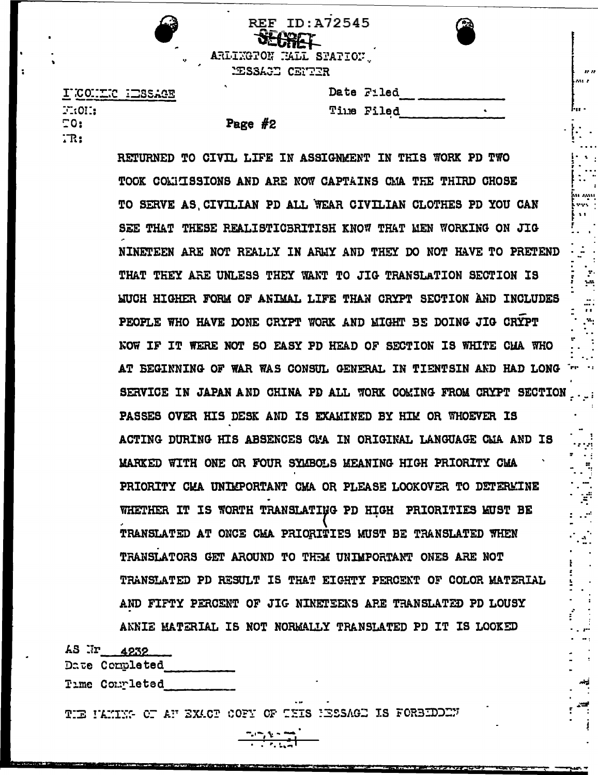|                         | ——— <b>——————</b> |  |
|-------------------------|-------------------|--|
| ARLINGTON NALL STATION. |                   |  |
| WESSAGE CENTER          |                   |  |

Page  $#2$ 

SFARET

**REF ID:A72545** 

| INCONTRO HESSAGE        |  |
|-------------------------|--|
| $T_{\rm i}$ on $\rm _i$ |  |
| ΞO:                     |  |
| TR:                     |  |

| Date Filed        |
|-------------------|
| <b>Time Filed</b> |

RETURNED TO CIVIL LIFE IN ASSIGNMENT IN THIS WORK PD TWO TOOK COLUISSIONS AND ARE NOW CAPTAINS CMA THE THIRD CHOSE TO SERVE AS CIVILIAN PD ALL WEAR CIVILIAN CLOTHES PD YOU CAN SEE THAT THESE REALISTICBRITISH KNOW THAT MEN WORKING ON JIG NINETEEN ARE NOT REALLY IN ARMY AND THEY DO NOT HAVE TO PRETEND THAT THEY ARE UNLESS THEY WANT TO JIG TRANSLATION SECTION IS WUCH HIGHER FORM OF ANIMAL LIFE THAN CRYPT SECTION AND INCLUDES PEOPLE WHO HAVE DONE CRYPT WORK AND MIGHT BE DOING JIG CRYPT NOW IF IT WERE NOT SO EASY PD HEAD OF SECTION IS WHITE CHA WHO AT BEGINNING OF WAR WAS CONSUL GENERAL IN TIENTSIN AND HAD LONG THE SE SERVICE IN JAPAN AND CHINA PD ALL WORK COMING FROM CRYPT SECTION PASSES OVER HIS DESK AND IS EXAMINED BY HIM OR WHOEVER IS ACTING DURING HIS ABSENCES CMA IN ORIGINAL LANGUAGE CWA AND IS MARKED WITH ONE OR FOUR SYMBOLS MEANING HIGH PRIORITY CMA PRIORITY CMA UNIMPORTANT CMA OR PLEASE LOOKOVER TO DETERMINE WHETHER IT IS WORTH TRANSLATING PD HIGH PRIORITIES KUST BE TRANSLATED AT ONCE CMA PRIORITIES MUST BE TRANSLATED WHEN TRANSLATORS GET AROUND TO THEM UNIMPORTANT ONES ARE NOT TRANSLATED PD RESULT IS THAT EIGHTY PERCENT OF COLOR MATERIAL AND FIFTY PERCENT OF JIG NINETEENS ARE TRANSLATED PD LOUSY ANNIE MATERIAL IS NOT NORMALLY TRANSLATED PD IT IS LOOKED

AS Ir 4232

Date Completed

Time Commleted

THE NAMING OF AN EXACT COFY OF THIS NESSAGE IS FORBEDOEN

<u>Profite temperature and the member of </u>

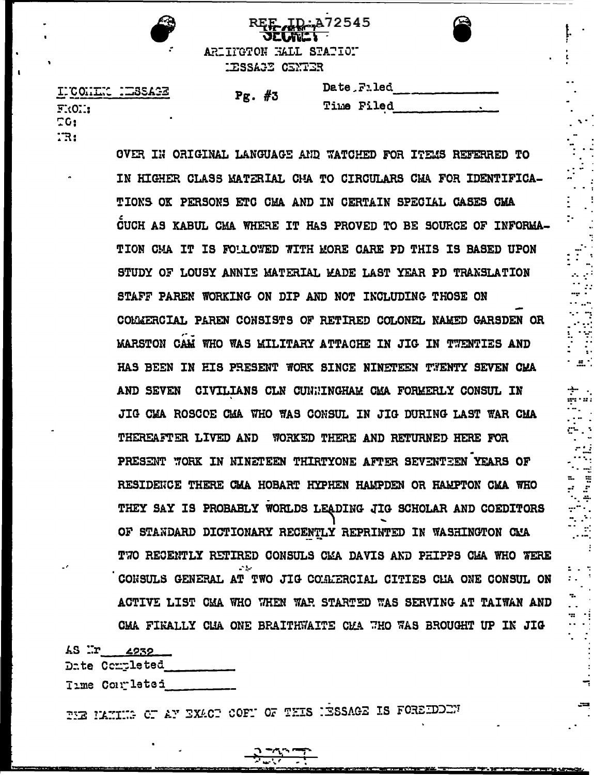

ARIITGTON HALL STATION IESSAGE CENTER

| INCONING NEUSSAGE |  |
|-------------------|--|
| FROM:             |  |
| ΞG:               |  |
| . קי              |  |

| <br>77 L | и. |  |
|----------|----|--|
|----------|----|--|

 $\mathbf{D}$  $\mathbf{T}$ 

:A72545

| <b>ate Filed</b> |  |
|------------------|--|
| ime Filed        |  |

 $\ldots$ 

 $\cdot$ 

OVER IN ORIGINAL LANGUAGE AND WATCHED FOR ITEMS REFERRED TO IN HIGHER CLASS MATERIAL CHA TO CIRCULARS CMA FOR IDENTIFICA-TIONS OK PERSONS ETC CHA AND IN CERTAIN SPECIAL CASES CMA CUCH AS KABUL CMA WHERE IT HAS PROVED TO BE SOURCE OF INFORMA-TION CMA IT IS FOLLOWED WITH MORE CARE PD THIS IS BASED UPON STUDY OF LOUSY ANNIE MATERIAL MADE LAST YEAR PD TRANSLATION STAFF PAREN WORKING ON DIP AND NOT INCLUDING THOSE ON COLMERCIAL PAREN CONSISTS OF RETIRED COLONEL NAMED GARSDEN OR MARSTON CAM WHO WAS MILITARY ATTACHE IN JIG IN TWENTIES AND HAS BEEN IN HIS PRESENT WORK SINCE NINETEEN TWENTY SEVEN CHA AND SEVEN CIVILIANS CLN CUNNINGHAM CMA FORMERLY CONSUL IN JIG CHA ROSCOE CHA WHO WAS CONSUL IN JIG DURING LAST WAR CHA THEREAFTER LIVED AND WORKED THERE AND RETURNED HERE FOR PRESENT WORK IN NINETEEN THIRTYONE AFTER SEVENTEEN YEARS OF RESIDENCE THERE CMA HOBART HYPHEN HAMPDEN OR HAMPTON CMA WHO THEY SAY IS PROBABLY WORLDS LEADING JIG SCHOLAR AND COEDITORS OF STANDARD DICTIONARY RECENTLY REPRINTED IN WASHINGTON CMA TWO RECENTLY RETIRED CONSULS CMA DAVIS AND PHIPPS CMA WHO WERE CONSULS GENERAL AT TWO JIG COMMERCIAL CITIES CHA ONE CONSUL ON ACTIVE LIST CMA WHO WHEN WAR STARTED WAS SERVING AT TAIWAN AND CMA FIRALLY CLA ONE BRAITHWAITE CMA WHO WAS BROUGHT UP IN JIG

 $4S$   $\mathbb{R}$   $\mathbb{Z}$   $\mathbb{Z}$   $\mathbb{Z}$   $\mathbb{Z}$   $\mathbb{Z}$   $\mathbb{Z}$   $\mathbb{Z}$   $\mathbb{Z}$   $\mathbb{Z}$   $\mathbb{Z}$   $\mathbb{Z}$   $\mathbb{Z}$   $\mathbb{Z}$   $\mathbb{Z}$   $\mathbb{Z}$   $\mathbb{Z}$   $\mathbb{Z}$   $\mathbb{Z}$   $\mathbb{Z}$   $\mathbb{Z}$   $\mathbb{Z}$   $\mathbb{Z}$   $\mathbb{Z}$ 

Date Completed

Time Completed

THE HAMIMG OF AY EXACT COFF OF THIS HESSAGE IS FOREIDORY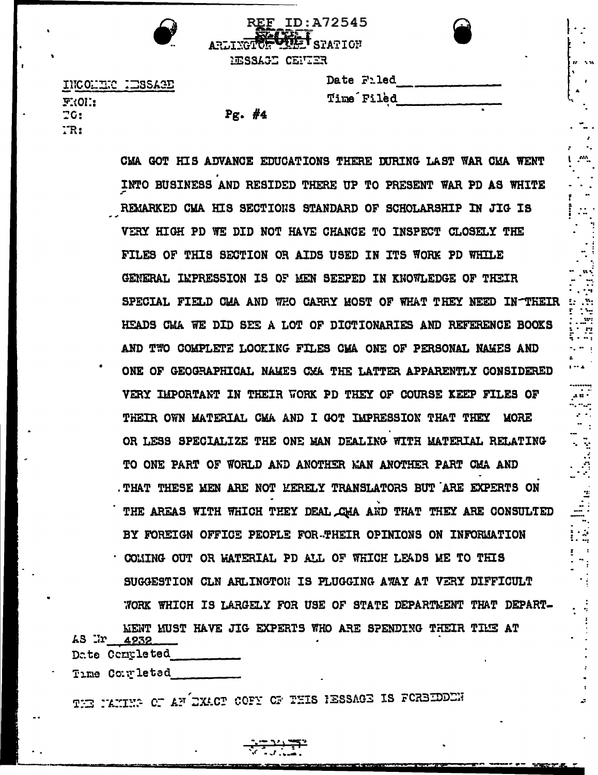HESSAGE CENTER

ARLINGTON MILE STATION

**REF ID: A72545** 

| <b>Date Filed</b> |  |
|-------------------|--|
| <b>Time Filed</b> |  |

INCOLLECTERSAGE **FROL:**  $70:$  $TR:$ 

|  | ı<br>, |  |
|--|--------|--|
|  |        |  |

CMA GOT HIS ADVANCE EDUCATIONS THERE DURING LAST WAR CMA WENT INTO BUSINESS AND RESIDED THERE UP TO PRESENT WAR PD AS WHITE REMARKED CMA HIS SECTIONS STANDARD OF SCHOLARSHIP IN JIG IS VERY HIGH PD WE DID NOT HAVE CHANCE TO INSPECT CLOSELY THE FILES OF THIS SECTION OR AIDS USED IN ITS WORK PD WHILE GENERAL IMPRESSION IS OF MEN SEEPED IN KNOWLEDGE OF THEIR SPECIAL FIELD CMA AND WHO CARRY MOST OF WHAT THEY NEED IN THEIR HEADS CMA WE DID SEE A LOT OF DICTIONARIES AND REFERENCE BOOKS AND TWO COMPLETE LOOKING FILES CMA ONE OF PERSONAL NAKES AND ONE OF GEOGRAPHICAL NAMES CMA THE LATTER APPARENTLY CONSIDERED VERY IMPORTANT IN THEIR WORK PD THEY OF COURSE KEEP FILES OF THEIR OWN MATERIAL CMA AND I GOT IMPRESSION THAT THEY MORE OR LESS SPECIALIZE THE ONE MAN DEALING WITH MATERIAL RELATING TO ONE PART OF WORLD AND ANOTHER MAN ANOTHER PART CMA AND . THAT THESE MEN ARE NOT KERELY TRANSLATORS BUT ARE EXPERTS ON THE AREAS WITH WHICH THEY DEAL CHA AND THAT THEY ARE CONSULTED BY FOREIGN OFFICE PEOPLE FOR-THEIR OPINIONS ON INFORMATION . COMING OUT OR WATERIAL PD ALL OF WHICH LEADS ME TO THIS SUGGESTION CLN ARLINGTON IS PLUGGING AWAY AT VERY DIFFICULT WORK WHICH IS LARGELY FOR USE OF STATE DEPARTMENT THAT DEPART-MENT MUST HAVE JIG EXPERTS WHO ARE SPENDING THEIR TIME AT  $43$  Ir  $4939$ 

Date Completed

Time Completed

THE PANING OF AN EXACT COFY OF THIS RESSAGE IS FORBIDDEN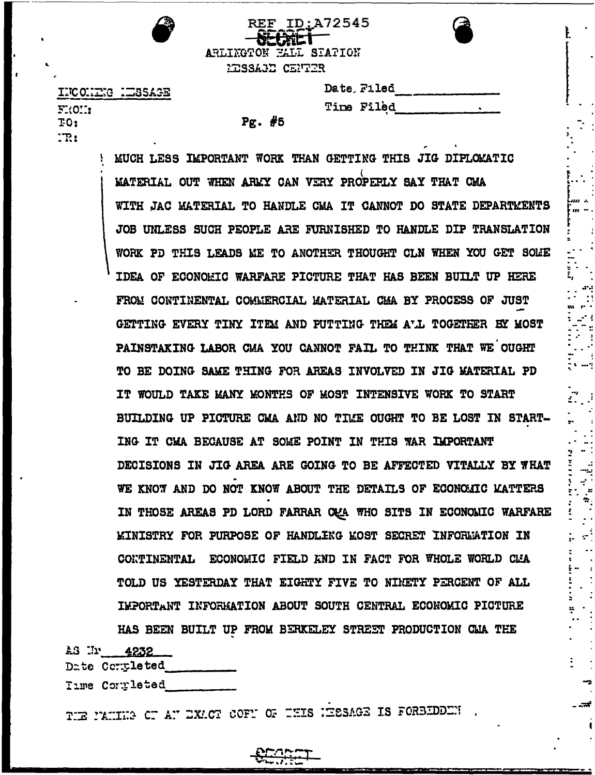| REF ID: A72545<br>$-$  |
|------------------------|
| ARLINGTON FALL STATION |
| KISSAGE CENTER         |

INCOHER HESSAGE  $F:OC:$ TO:  $\mathbb{R}!$ 

| Date Filed |  |
|------------|--|
| Time Filed |  |

 $Pr.$  #5

MUCH LESS IMPORTANT WORK THAN GETTING THIS JIG DIPLOMATIC MATERIAL OUT WHEN ARMY CAN VERY PROPEPLY SAY THAT CMA WITH JAC MATERIAL TO HANDLE CMA IT CANNOT DO STATE DEPARTMENTS JOB UNLESS SUCH PEOPLE ARE FURNISHED TO HANDLE DIP TRANSLATION WORK PD THIS LEADS ME TO ANOTHER THOUGHT CLN WHEN YOU GET SOME IDEA OF ECONOMIC WARFARE PICTURE THAT HAS BEEN BUILT UP HERE FROM CONTINENTAL COMMERCIAL MATERIAL CMA BY PROCESS OF JUST GETTING EVERY TINY ITEM AND PUTTING THEM ALL TOGETHER BY MOST PAINSTAKING LABOR CMA YOU CANNOT FAIL TO THINK THAT WE OUGHT TO BE DOING SAME THING FOR AREAS INVOLVED IN JIG MATERIAL PD IT WOULD TAKE MANY MONTHS OF MOST INTENSIVE WORK TO START BUILDING UP PICTURE CMA AND NO TIME OUGHT TO BE LOST IN START-ING IT CMA BECAUSE AT SOME POINT IN THIS WAR IMPORTANT DECISIONS IN JIG AREA ARE GOING TO BE AFFECTED VITALLY BY WHAT WE KNOW AND DO NOT KNOW ABOUT THE DETAILS OF ECONOLIC KATTERS IN THOSE AREAS PD LORD FARRAR CAA WHO SITS IN ECONOMIC WARFARE **KINISTRY FOR PURPOSE OF HANDLING KOST SECRET INFORMATION IN** CONTINENTAL ECONOMIC FIELD KND IN FACT FOR WHOLE WORLD CLA TOLD US YESTERDAY THAT EIGHTY FIVE TO NINETY PERCENT OF ALL IMPORTANT INFORMATION ABOUT SOUTH CENTRAL ECONOMIC PICTURE HAS BEEN BUILT UP FROM BERKELEY STREET PRODUCTION CAA THE

 $\angle 3 \quad \text{Tr} \quad 4232$ 

Date Completed

Time Completed

TIE PANIE CE AN EXACT COFN OF THIS HESAGE IS FORBIDDEN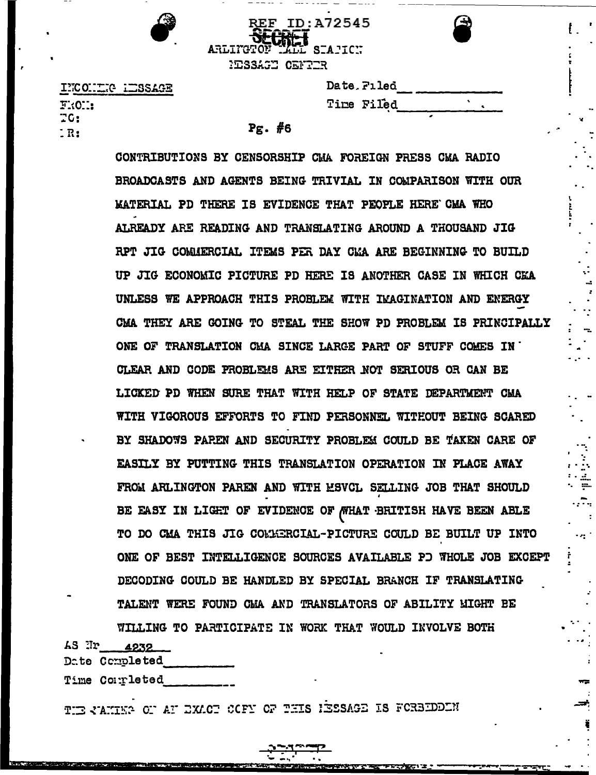

ARLITGTON  $SIAICI$ **NESSAGE CENTER** 

REF ID: A72545

| INCONTRE IMBSAGE |
|------------------|
|                  |
|                  |
|                  |
|                  |

| Date Filed |  |
|------------|--|
| Time Filed |  |

## $Pg.$  #6

CONTRIBUTIONS BY CENSORSHIP CMA FOREIGN PRESS CMA RADIO BROADCASTS AND AGENTS BEING TRIVIAL IN COMPARISON WITH OUR KATERIAL PD THERE IS EVIDENCE THAT PEOPLE HERE CMA WHO ALREADY ARE READING AND TRANSLATING AROUND A THOUSAND JIG RPT JIG COMMERCIAL ITEMS PER DAY CMA ARE BEGINNING TO BUILD UP JIG ECONOMIC PICTURE PD HERE IS ANOTHER CASE IN WHICH CEA UNLESS WE APPROACH THIS PROBLEM WITH IMAGINATION AND ENERGY CMA THEY ARE GOING TO STEAL THE SHOW PD PROBLEM IS PRINCIPALLY ONE OF TRANSLATION CHA SINCE LARGE PART OF STUFF COMES IN CLEAR AND CODE PROBLEMS ARE EITHER NOT SERIOUS OR CAN BE LICKED PD WHEN SURE THAT WITH HELP OF STATE DEPARTMENT CMA **WITH VIGOROUS EFFORTS TO FIND PERSONNEL WITHOUT BEING SCARED** BY SHADOWS PAREN AND SECURITY PROBLEM COULD BE TAKEN CARE OF EASILY BY PUTTING THIS TRANSLATION OPERATION IN PLACE AWAY FROM ARLINGTON PAREN AND WITH MSVCL SELLING JOB THAT SHOULD BE EASY IN LIGHT OF EVIDENCE OF WHAT BRITISH HAVE BEEN ABLE TO DO CMA THIS JIG COMMERCIAL-PICTURE COULD BE BUILT UP INTO ONE OF BEST INTELLIGENCE SOURCES AVAILABLE PD WHOLE JOB EXCEPT DECODING COULD BE HANDLED BY SPECIAL BRANCH IF TRANSLATING TALENT WERE FOUND CMA AND TRANSLATORS OF ABILITY MIGHT BE WILLING TO PARTICIPATE IN WORK THAT WOULD INVOLVE BOTH

アスマータ レックス・エー・エー

AS Nr 4232

Date Completed

Time Completed

**NOW? START SHOW THAT THE** 

THE CANING OF AF EXACT COFY OF THIS HESSAGE IS FORBIDDEN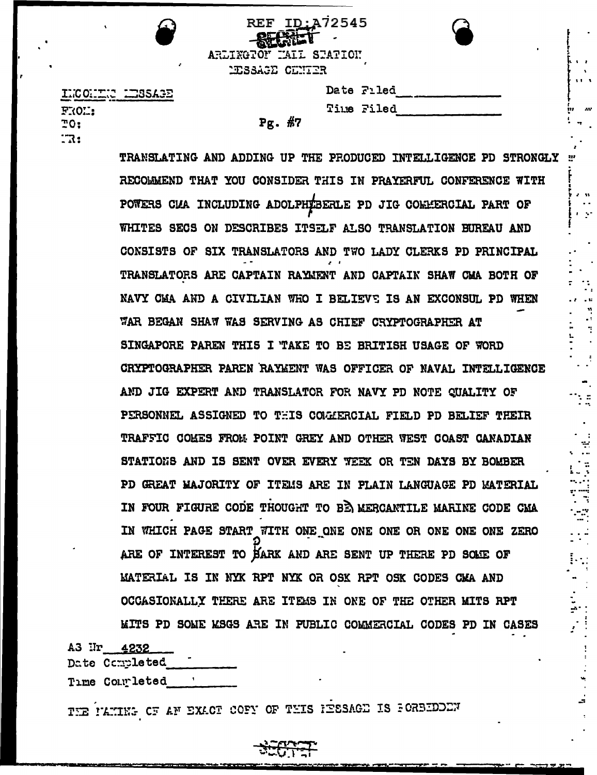| ×. | REF ID: A72545<br>ARLINGTOF HALL STATION<br>MESSAGE CENTER |            |  |
|----|------------------------------------------------------------|------------|--|
|    |                                                            | Date Filed |  |
|    |                                                            | Time Filed |  |
|    | #7<br>Pg.                                                  |            |  |

TRANSLATING AND ADDING UP THE PRODUCED INTELLIGENCE PD STRONGLY : RECOMMEND THAT YOU CONSIDER THIS IN PRAYERFUL CONFERENCE WITH POWERS CUA INCLUDING ADOLPHEBERLE PD JIG COMMERCIAL PART OF WHITES SECS ON DESCRIBES ITSELF ALSO TRANSLATION BUREAU AND CONSISTS OF SIX TRANSLATORS AND TWO LADY CLERKS PD PRINCIPAL TRANSLATORS ARE CAPTAIN RAYMENT AND CAPTAIN SHAW CMA BOTH OF NAVY CMA AND A CIVILIAN WHO I BELIEVE IS AN EXCONSUL PD WHEN WAR BEGAN SHAW WAS SERVING AS CHIEF CRYPTOGRAPHER AT SINGAPORE PAREN THIS I TAKE TO BE BRITISH USAGE OF WORD CRYPTOGRAPHER PAREN RAYMENT WAS OFFICER OF NAVAL INTELLIGENCE AND JIG EXPERT AND TRANSLATOR FOR NAVY PD NOTE QUALITY OF PERSONNEL ASSIGNED TO THIS COMMERCIAL FIELD PD BELIEF THEIR TRAFFIC COMES FROM POINT GREY AND OTHER WEST COAST CANADIAN STATIONS AND IS SENT OVER EVERY WEEK OR TEN DAYS BY BOMBER PD GREAT MAJORITY OF ITEMS ARE IN PLAIN LANGUAGE PD MATERIAL IN FOUR FIGURE CODE THOUGHT TO BE MERCANTILE MARINE CODE CMA IN WHICH PAGE START WITH ONE ONE ONE ONE OR ONE ONE ONE ZERO ARE OF INTEREST TO BARK AND ARE SENT UP THERE PD SOME OF MATERIAL IS IN NYK RPT NYK OR OSK RPT OSK CODES CMA AND OCCASIONALLY THERE ARE ITEMS IN ONE OF THE OTHER MITS RPT MITS PD SOME MSGS ARE IN PUBLIC COMMERCIAL CODES PD IN CASES

 $\mathbf{u}$ 

A3 II 4232 Date Completed

INCONTING

FROL:  $70:$ 

 $\mathbb{R}$ :

Time Completed

THE PANING OF AN EXACT COFY OF THIS HESSAGE IS FORBIDOEN

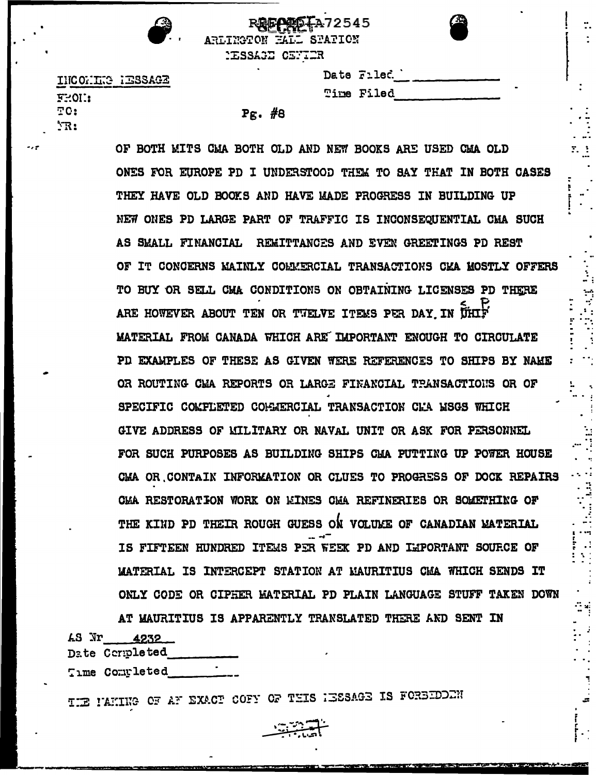| -2<br>٠ |   |
|---------|---|
|         | r |

|  | Ĺ |
|--|---|
|  |   |

 $\Sigma_{\rm eff}$ 

INCOMIC RESSAGE  $5-01$ : TO:  $^{\prime}$ R:

## $P_{\mathcal{E}}$ . #8

**REGPED TA72545** 

Date Filed.

Time Filed

ARLINGTON HALL SPATION **MESSAGE CENTER** 

OF BOTH MITS CMA BOTH OLD AND NEW BOOKS ARE USED CMA OLD ONES FOR EUROPE PD I UNDERSTOOD THEM TO SAY THAT IN BOTH CASES THEY HAVE OLD BOOKS AND HAVE MADE PROGRESS IN BUILDING UP NEW ONES PD LARGE PART OF TRAFFIC IS INCONSEQUENTIAL CHA SUCH AS SMALL FINANCIAL REMITTANCES AND EVEN GREETINGS PD REST OF IT CONCERNS MAINLY COMMERCIAL TRANSACTIONS CKA MOSTLY OFFERS TO BUY OR SELL CMA CONDITIONS ON OBTAINING LICENSES PD THERE ARE HOWEVER ABOUT TEN OR TWELVE ITEMS PER DAY IN UHIF MATERIAL FROM CANADA WHICH ARE IMPORTANT ENOUGH TO CIRCULATE PD EXAMPLES OF THESE AS GIVEN WERE REFERENCES TO SHIPS BY NAME OR ROUTING CMA REPORTS OR LARGE FINANCIAL TRANSACTIONS OR OF SPECIFIC COMPLETED COMMERCIAL TRANSACTION CMA MSGS WHICH GIVE ADDRESS OF MILITARY OR NAVAL UNIT OR ASK FOR PERSONNEL FOR SUCH PURPOSES AS BUILDING SHIPS CHA PUTTING UP POWER HOUSE CMA OR CONTAIN INFORMATION OR CLUES TO PROGRESS OF DOCK REPAIRS CMA RESTORATION WORK ON MINES CMA REFINERIES OR SOMETHING OF THE KIND PD THEIR ROUGH GUESS ON VOLUME OF CANADIAN MATERIAL IS FIFTEEN HUNDRED ITEMS PER WEEK PD AND IMPORTANT SOURCE OF MATERIAL IS INTERCEPT STATION AT MAURITIUS CMA WHICH SENDS IT ONLY CODE OR CIPHER MATERIAL PD PLAIN LANGUAGE STUFF TAKEN DOWN

AT MAURITIUS IS APPARENTLY TRANSLATED THERE AND SENT IN 48 Nr 4232 Date Completed

Time Completed

THE PAKING OF AF EXACT COFY OF THIS HESSAGE IS FOREEDOCH

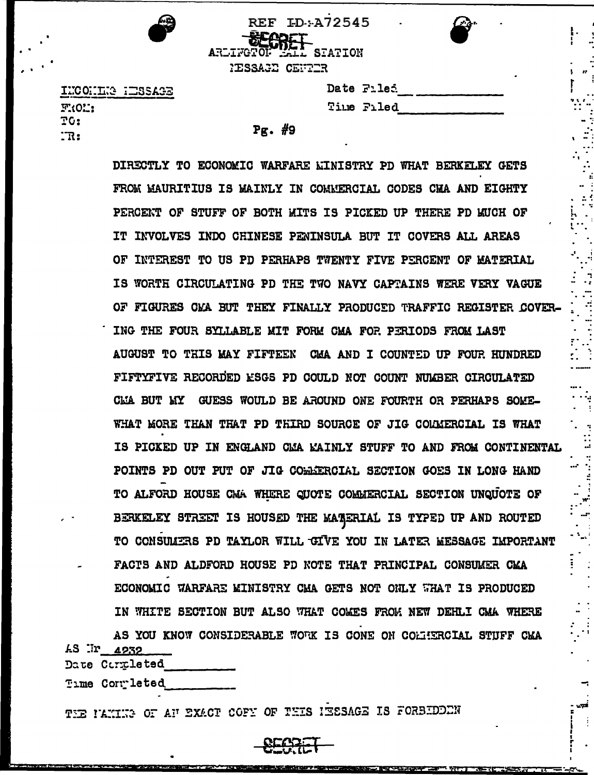| <b>REF ID:A72545</b>                    |  |
|-----------------------------------------|--|
| <b>ECODET</b><br>ARLIFOTOL LALL STATION |  |
|                                         |  |
| PESSAGE CENTER                          |  |
|                                         |  |

INCONTRE IESSAGE F101: TG:  $\mathbb{R}$ :

| Date Filed |
|------------|
| Time Filed |

 $Pg.$  #9

DIRECTLY TO ECONOMIC WARFARE LINISTRY PD WHAT BERKELEY GETS FROM MAURITIUS IS MAINLY IN COMMERCIAL CODES CHA AND EIGHTY PERCENT OF STUFF OF BOTH MITS IS PICKED UP THERE PD MUCH OF IT INVOLVES INDO CHINESE PENINSULA BUT IT COVERS ALL AREAS OF INTEREST TO US PD PERHAPS TWENTY FIVE PERCENT OF MATERIAL IS WORTH CIRCULATING PD THE TWO NAVY CAPTAINS WERE VERY VAGUE OF FIGURES CMA BUT THEY FINALLY PRODUCED TRAFFIC REGISTER COVER-ING THE FOUR SYLLABLE MIT FORM CMA FOR PERIODS FROM LAST AUGUST TO THIS MAY FIFTEEN CMA AND I COUNTED UP FOUR HUNDRED FIFTYFIVE RECORDED ESGS PD COULD NOT COUNT NUMBER CIRCULATED CLIA BUT MY GUESS WOULD BE AROUND ONE FOURTH OR PERHAPS SOME-WHAT MORE THAN THAT PD THIRD SOURCE OF JIG COLMERCIAL IS WHAT IS PICKED UP IN ENGLAND CMA MAINLY STUFF TO AND FROM CONTINENTAL POINTS PD OUT PUT OF JIG CORRERCIAL SECTION GOES IN LONG HAND TO ALFORD HOUSE CMA WHERE CUOTE COMMERCIAL SECTION UNQUOTE OF BERKELEY STREET IS HOUSED THE MATERIAL IS TYPED UP AND ROUTED TO CONSUMERS PD TAYLOR WILL GIVE YOU IN LATER MESSAGE IMPORTANT FACTS AND ALDFORD HOUSE PD NOTE THAT PRINCIPAL CONSUMER CMA ECONOMIC WARFARE MINISTRY CMA GETS NOT ONLY WHAT IS PRODUCED IN WHITE SECTION BUT ALSO WHAT COMES FROM NEW DEHLI CMA WHERE

AS YOU KNOW CONSIDERABLE WORK IS CONE ON COLIERCIAL STUFF CMA **AS Ir 4932** Date Completed

Time Completed

THE ILMING OF AN EXACT COFY OF THIS INSESAGE IS FORBIDEDN